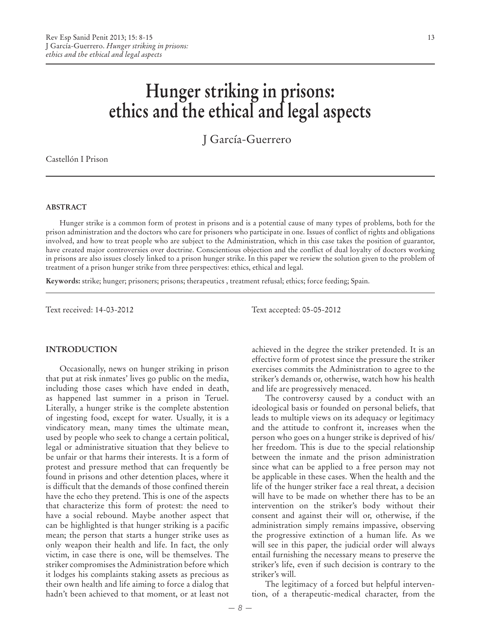# **Hunger striking in prisons: ethics and the ethical and legal aspects**

J García-Guerrero

Castellón I Prison

#### **ABSTRACT**

Hunger strike is a common form of protest in prisons and is a potential cause of many types of problems, both for the prison administration and the doctors who care for prisoners who participate in one. Issues of conflict of rights and obligations involved, and how to treat people who are subject to the Administration, which in this case takes the position of guarantor, have created major controversies over doctrine. Conscientious objection and the conflict of dual loyalty of doctors working in prisons are also issues closely linked to a prison hunger strike. In this paper we review the solution given to the problem of treatment of a prison hunger strike from three perspectives: ethics, ethical and legal.

**Keywords:** strike; hunger; prisoners; prisons; therapeutics , treatment refusal; ethics; force feeding; Spain.

**INTRODUCTION**

Occasionally, news on hunger striking in prison that put at risk inmates' lives go public on the media, including those cases which have ended in death, as happened last summer in a prison in Teruel. Literally, a hunger strike is the complete abstention of ingesting food, except for water. Usually, it is a vindicatory mean, many times the ultimate mean, used by people who seek to change a certain political, legal or administrative situation that they believe to be unfair or that harms their interests. It is a form of protest and pressure method that can frequently be found in prisons and other detention places, where it is difficult that the demands of those confined therein have the echo they pretend. This is one of the aspects that characterize this form of protest: the need to have a social rebound. Maybe another aspect that can be highlighted is that hunger striking is a pacific mean; the person that starts a hunger strike uses as only weapon their health and life. In fact, the only victim, in case there is one, will be themselves. The striker compromises the Administration before which it lodges his complaints staking assets as precious as their own health and life aiming to force a dialog that hadn't been achieved to that moment, or at least not

Text received: 14-03-2012 Text accepted: 05-05-2012

achieved in the degree the striker pretended. It is an effective form of protest since the pressure the striker exercises commits the Administration to agree to the striker's demands or, otherwise, watch how his health and life are progressively menaced.

The controversy caused by a conduct with an ideological basis or founded on personal beliefs, that leads to multiple views on its adequacy or legitimacy and the attitude to confront it, increases when the person who goes on a hunger strike is deprived of his/ her freedom. This is due to the special relationship between the inmate and the prison administration since what can be applied to a free person may not be applicable in these cases. When the health and the life of the hunger striker face a real threat, a decision will have to be made on whether there has to be an intervention on the striker's body without their consent and against their will or, otherwise, if the administration simply remains impassive, observing the progressive extinction of a human life. As we will see in this paper, the judicial order will always entail furnishing the necessary means to preserve the striker's life, even if such decision is contrary to the striker's will.

The legitimacy of a forced but helpful intervention, of a therapeutic-medical character, from the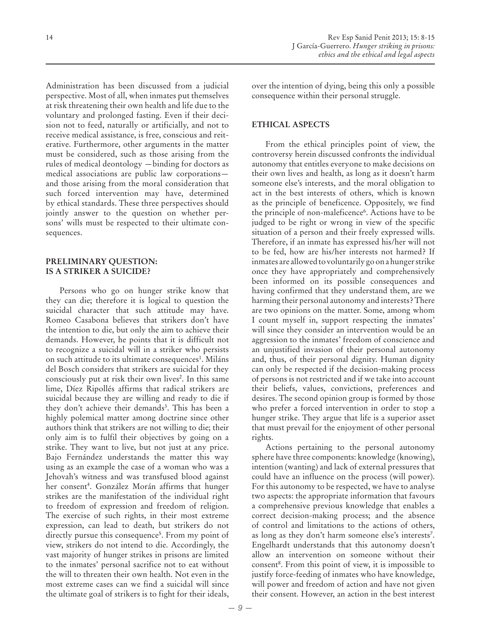Administration has been discussed from a judicial perspective. Most of all, when inmates put themselves at risk threatening their own health and life due to the voluntary and prolonged fasting. Even if their decision not to feed, naturally or artificially, and not to receive medical assistance, is free, conscious and reiterative. Furthermore, other arguments in the matter must be considered, such as those arising from the rules of medical deontology —binding for doctors as medical associations are public law corporations and those arising from the moral consideration that such forced intervention may have, determined by ethical standards. These three perspectives should jointly answer to the question on whether persons' wills must be respected to their ultimate consequences.

# **PRELIMINARY QUESTION: IS A STRIKER A SUICIDE?**

Persons who go on hunger strike know that they can die; therefore it is logical to question the suicidal character that such attitude may have. Romeo Casabona believes that strikers don't have the intention to die, but only the aim to achieve their demands. However, he points that it is difficult not to recognize a suicidal will in a striker who persists on such attitude to its ultimate consequences<sup>1</sup>. Miláns del Bosch considers that strikers are suicidal for they consciously put at risk their own lives<sup>2</sup>. In this same lime, Díez Ripollés affirms that radical strikers are suicidal because they are willing and ready to die if they don't achieve their demands<sup>3</sup>. This has been a highly polemical matter among doctrine since other authors think that strikers are not willing to die; their only aim is to fulfil their objectives by going on a strike. They want to live, but not just at any price. Bajo Fernández understands the matter this way using as an example the case of a woman who was a Jehovah's witness and was transfused blood against her consent<sup>4</sup>. González Morán affirms that hunger strikes are the manifestation of the individual right to freedom of expression and freedom of religion. The exercise of such rights, in their most extreme expression, can lead to death, but strikers do not directly pursue this consequence<sup>5</sup>. From my point of view, strikers do not intend to die. Accordingly, the vast majority of hunger strikes in prisons are limited to the inmates' personal sacrifice not to eat without the will to threaten their own health. Not even in the most extreme cases can we find a suicidal will since the ultimate goal of strikers is to fight for their ideals,

over the intention of dying, being this only a possible consequence within their personal struggle.

# **ETHICAL ASPECTS**

From the ethical principles point of view, the controversy herein discussed confronts the individual autonomy that entitles everyone to make decisions on their own lives and health, as long as it doesn't harm someone else's interests, and the moral obligation to act in the best interests of others, which is known as the principle of beneficence. Oppositely, we find the principle of non-maleficence<sup>6</sup>. Actions have to be judged to be right or wrong in view of the specific situation of a person and their freely expressed wills. Therefore, if an inmate has expressed his/her will not to be fed, how are his/her interests not harmed? If inmates are allowed to voluntarily go on a hunger strike once they have appropriately and comprehensively been informed on its possible consequences and having confirmed that they understand them, are we harming their personal autonomy and interests? There are two opinions on the matter. Some, among whom I count myself in, support respecting the inmates' will since they consider an intervention would be an aggression to the inmates' freedom of conscience and an unjustified invasion of their personal autonomy and, thus, of their personal dignity. Human dignity can only be respected if the decision-making process of persons is not restricted and if we take into account their beliefs, values, convictions, preferences and desires. The second opinion group is formed by those who prefer a forced intervention in order to stop a hunger strike. They argue that life is a superior asset that must prevail for the enjoyment of other personal rights.

Actions pertaining to the personal autonomy sphere have three components: knowledge (knowing), intention (wanting) and lack of external pressures that could have an influence on the process (will power). For this autonomy to be respected, we have to analyse two aspects: the appropriate information that favours a comprehensive previous knowledge that enables a correct decision-making process; and the absence of control and limitations to the actions of others, as long as they don't harm someone else's interests7 . Engelhardt understands that this autonomy doesn't allow an intervention on someone without their consent<sup>8</sup>. From this point of view, it is impossible to justify force-feeding of inmates who have knowledge, will power and freedom of action and have not given their consent. However, an action in the best interest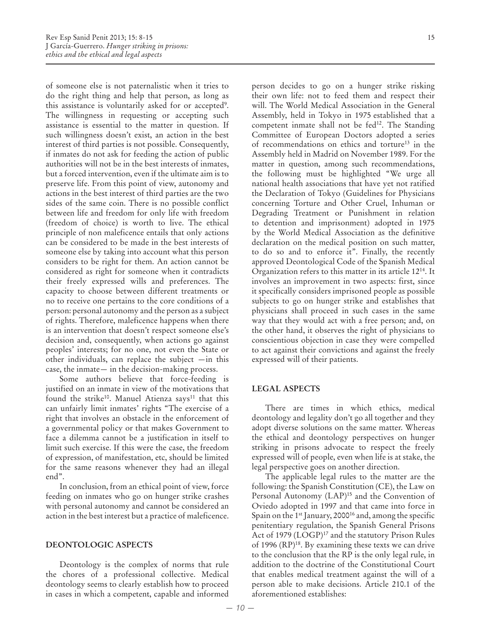of someone else is not paternalistic when it tries to do the right thing and help that person, as long as this assistance is voluntarily asked for or accepted<sup>9</sup>. The willingness in requesting or accepting such assistance is essential to the matter in question. If such willingness doesn't exist, an action in the best interest of third parties is not possible. Consequently, if inmates do not ask for feeding the action of public authorities will not be in the best interests of inmates, but a forced intervention, even if the ultimate aim is to preserve life. From this point of view, autonomy and actions in the best interest of third parties are the two sides of the same coin. There is no possible conflict between life and freedom for only life with freedom (freedom of choice) is worth to live. The ethical principle of non maleficence entails that only actions can be considered to be made in the best interests of someone else by taking into account what this person considers to be right for them. An action cannot be considered as right for someone when it contradicts their freely expressed wills and preferences. The capacity to choose between different treatments or no to receive one pertains to the core conditions of a person: personal autonomy and the person as a subject of rights. Therefore, maleficence happens when there is an intervention that doesn't respect someone else's decision and, consequently, when actions go against peoples' interests; for no one, not even the State or other individuals, can replace the subject —in this case, the inmate— in the decision-making process.

Some authors believe that force-feeding is justified on an inmate in view of the motivations that found the strike<sup>10</sup>. Manuel Atienza says<sup>11</sup> that this can unfairly limit inmates' rights "The exercise of a right that involves an obstacle in the enforcement of a governmental policy or that makes Government to face a dilemma cannot be a justification in itself to limit such exercise. If this were the case, the freedom of expression, of manifestation, etc, should be limited for the same reasons whenever they had an illegal end".

In conclusion, from an ethical point of view, force feeding on inmates who go on hunger strike crashes with personal autonomy and cannot be considered an action in the best interest but a practice of maleficence.

#### **DEONTOLOGIC ASPECTS**

Deontology is the complex of norms that rule the chores of a professional collective. Medical deontology seems to clearly establish how to proceed in cases in which a competent, capable and informed person decides to go on a hunger strike risking their own life: not to feed them and respect their will. The World Medical Association in the General Assembly, held in Tokyo in 1975 established that a competent inmate shall not be fed<sup>12</sup>. The Standing Committee of European Doctors adopted a series of recommendations on ethics and torture13 in the Assembly held in Madrid on November 1989. For the matter in question, among such recommendations, the following must be highlighted "We urge all national health associations that have yet not ratified the Declaration of Tokyo (Guidelines for Physicians concerning Torture and Other Cruel, Inhuman or Degrading Treatment or Punishment in relation to detention and imprisonment) adopted in 1975 by the World Medical Association as the definitive declaration on the medical position on such matter, to do so and to enforce it". Finally, the recently approved Deontological Code of the Spanish Medical Organization refers to this matter in its article 1214. It involves an improvement in two aspects: first, since it specifically considers imprisoned people as possible subjects to go on hunger strike and establishes that physicians shall proceed in such cases in the same way that they would act with a free person; and, on the other hand, it observes the right of physicians to conscientious objection in case they were compelled to act against their convictions and against the freely expressed will of their patients.

#### **LEGAL ASPECTS**

There are times in which ethics, medical deontology and legality don't go all together and they adopt diverse solutions on the same matter. Whereas the ethical and deontology perspectives on hunger striking in prisons advocate to respect the freely expressed will of people, even when life is at stake, the legal perspective goes on another direction.

The applicable legal rules to the matter are the following: the Spanish Constitution (CE), the Law on Personal Autonomy (LAP)<sup>15</sup> and the Convention of Oviedo adopted in 1997 and that came into force in Spain on the 1<sup>st</sup> January, 2000<sup>16</sup> and, among the specific penitentiary regulation, the Spanish General Prisons Act of 1979 (LOGP)<sup>17</sup> and the statutory Prison Rules of 1996  $(RP)^{18}$ . By examining these texts we can drive to the conclusion that the RP is the only legal rule, in addition to the doctrine of the Constitutional Court that enables medical treatment against the will of a person able to make decisions. Article 210.1 of the aforementioned establishes: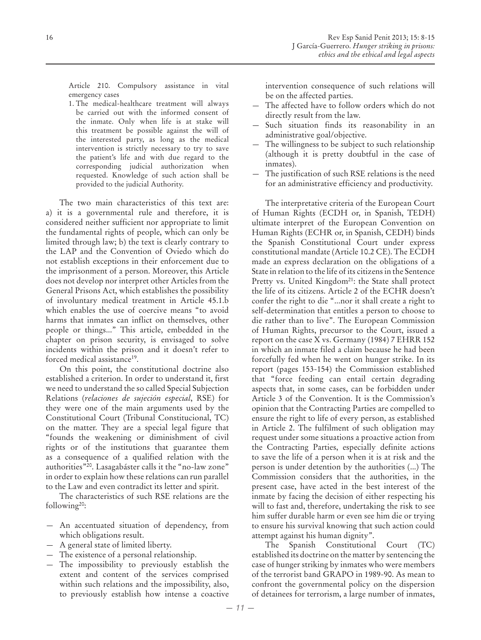Article 210. Compulsory assistance in vital emergency cases

1. The medical-healthcare treatment will always be carried out with the informed consent of the inmate. Only when life is at stake will this treatment be possible against the will of the interested party, as long as the medical intervention is strictly necessary to try to save the patient's life and with due regard to the corresponding judicial authorization when requested. Knowledge of such action shall be provided to the judicial Authority.

The two main characteristics of this text are: a) it is a governmental rule and therefore, it is considered neither sufficient nor appropriate to limit the fundamental rights of people, which can only be limited through law; b) the text is clearly contrary to the LAP and the Convention of Oviedo which do not establish exceptions in their enforcement due to the imprisonment of a person. Moreover, this Article does not develop nor interpret other Articles from the General Prisons Act, which establishes the possibility of involuntary medical treatment in Article 45.1.b which enables the use of coercive means "to avoid harms that inmates can inflict on themselves, other people or things..." This article, embedded in the chapter on prison security, is envisaged to solve incidents within the prison and it doesn't refer to forced medical assistance<sup>19</sup>.

On this point, the constitutional doctrine also established a criterion. In order to understand it, first we need to understand the so called Special Subjection Relations (*relaciones de sujeción especial*, RSE) for they were one of the main arguments used by the Constitutional Court (Tribunal Constitucional, TC) on the matter. They are a special legal figure that "founds the weakening or diminishment of civil rights or of the institutions that guarantee them as a consequence of a qualified relation with the authorities"20. Lasagabáster calls it the "no-law zone" in order to explain how these relations can run parallel to the Law and even contradict its letter and spirit.

The characteristics of such RSE relations are the following20:

- An accentuated situation of dependency, from which obligations result.
- A general state of limited liberty.
- The existence of a personal relationship.
- The impossibility to previously establish the extent and content of the services comprised within such relations and the impossibility, also, to previously establish how intense a coactive

intervention consequence of such relations will be on the affected parties.

- The affected have to follow orders which do not directly result from the law.
- Such situation finds its reasonability in an administrative goal/objective.
- The willingness to be subject to such relationship (although it is pretty doubtful in the case of inmates).
- The justification of such RSE relations is the need for an administrative efficiency and productivity.

The interpretative criteria of the European Court of Human Rights (ECDH or, in Spanish, TEDH) ultimate interpret of the European Convention on Human Rights (ECHR or, in Spanish, CEDH) binds the Spanish Constitutional Court under express constitutional mandate (Article 10.2 CE). The ECDH made an express declaration on the obligations of a State in relation to the life of its citizens in the Sentence Pretty vs. United Kingdom<sup>21</sup>: the State shall protect the life of its citizens. Article 2 of the ECHR doesn't confer the right to die "...nor it shall create a right to self-determination that entitles a person to choose to die rather than to live". The European Commission of Human Rights, precursor to the Court, issued a report on the case X vs. Germany (1984) 7 EHRR 152 in which an inmate filed a claim because he had been forcefully fed when he went on hunger strike. In its report (pages 153-154) the Commission established that "force feeding can entail certain degrading aspects that, in some cases, can be forbidden under Article 3 of the Convention. It is the Commission's opinion that the Contracting Parties are compelled to ensure the right to life of every person, as established in Article 2. The fulfilment of such obligation may request under some situations a proactive action from the Contracting Parties, especially definite actions to save the life of a person when it is at risk and the person is under detention by the authorities (...) The Commission considers that the authorities, in the present case, have acted in the best interest of the inmate by facing the decision of either respecting his will to fast and, therefore, undertaking the risk to see him suffer durable harm or even see him die or trying to ensure his survival knowing that such action could attempt against his human dignity".

The Spanish Constitutional Court (TC) established its doctrine on the matter by sentencing the case of hunger striking by inmates who were members of the terrorist band GRAPO in 1989-90. As mean to confront the governmental policy on the dispersion of detainees for terrorism, a large number of inmates,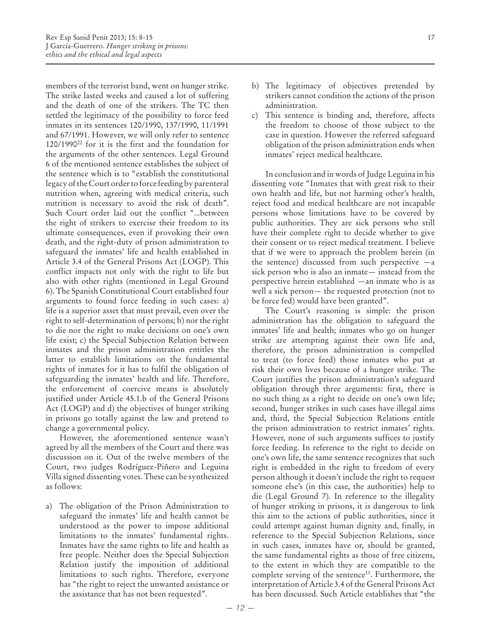members of the terrorist band, went on hunger strike. The strike lasted weeks and caused a lot of suffering and the death of one of the strikers. The TC then settled the legitimacy of the possibility to force feed inmates in its sentences 120/1990, 137/1990, 11/1991 and 67/1991. However, we will only refer to sentence 120/199022 for it is the first and the foundation for the arguments of the other sentences. Legal Ground 6 of the mentioned sentence establishes the subject of the sentence which is to "establish the constitutional legacy of the Court order to force feeding by parenteral nutrition when, agreeing with medical criteria, such nutrition is necessary to avoid the risk of death". Such Court order laid out the conflict "...between the right of strikers to exercise their freedom to its ultimate consequences, even if provoking their own death, and the right-duty of prison administration to safeguard the inmates' life and health established in Article 3.4 of the General Prisons Act (LOGP). This conflict impacts not only with the right to life but also with other rights (mentioned in Legal Ground 6). The Spanish Constitutional Court established four arguments to found force feeding in such cases: a) life is a superior asset that must prevail, even over the right to self-determination of persons; b) nor the right to die nor the right to make decisions on one's own life exist; c) the Special Subjection Relation between inmates and the prison administration entitles the latter to establish limitations on the fundamental rights of inmates for it has to fulfil the obligation of safeguarding the inmates' health and life. Therefore, the enforcement of coercive means is absolutely justified under Article 45.1.b of the General Prisons Act (LOGP) and d) the objectives of hunger striking in prisons go totally against the law and pretend to change a governmental policy.

However, the aforementioned sentence wasn't agreed by all the members of the Court and there was discussion on it. Out of the twelve members of the Court, two judges Rodríguez-Piñero and Leguina Villa signed dissenting votes. These can be synthesized as follows:

a) The obligation of the Prison Administration to safeguard the inmates' life and health cannot be understood as the power to impose additional limitations to the inmates' fundamental rights. Inmates have the same rights to life and health as free people. Neither does the Special Subjection Relation justify the imposition of additional limitations to such rights. Therefore, everyone has "the right to reject the unwanted assistance or the assistance that has not been requested".

- b) The legitimacy of objectives pretended by strikers cannot condition the actions of the prison administration.
- c) This sentence is binding and, therefore, affects the freedom to choose of those subject to the case in question. However the referred safeguard obligation of the prison administration ends when inmates' reject medical healthcare.

In conclusion and in words of Judge Leguina in his dissenting vote "Inmates that with great risk to their own health and life, but not harming other's health, reject food and medical healthcare are not incapable persons whose limitations have to be covered by public authorities. They are sick persons who still have their complete right to decide whether to give their consent or to reject medical treatment. I believe that if we were to approach the problem herein (in the sentence) discussed from such perspective  $-a$ sick person who is also an inmate— instead from the perspective herein established —an inmate who is as well a sick person— the requested protection (not to be force fed) would have been granted".

The Court's reasoning is simple: the prison administration has the obligation to safeguard the inmates' life and health; inmates who go on hunger strike are attempting against their own life and, therefore, the prison administration is compelled to treat (to force feed) those inmates who put at risk their own lives because of a hunger strike. The Court justifies the prison administration's safeguard obligation through three arguments: first, there is no such thing as a right to decide on one's own life; second, hunger strikes in such cases have illegal aims and, third, the Special Subjection Relations entitle the prison administration to restrict inmates' rights. However, none of such arguments suffices to justify force feeding. In reference to the right to decide on one's own life, the same sentence recognizes that such right is embedded in the right to freedom of every person although it doesn't include the right to request someone else's (in this case, the authorities) help to die (Legal Ground 7). In reference to the illegality of hunger striking in prisons, it is dangerous to link this aim to the actions of public authorities, since it could attempt against human dignity and, finally, in reference to the Special Subjection Relations, since in such cases, inmates have or, should be granted, the same fundamental rights as those of free citizens, to the extent in which they are compatible to the complete serving of the sentence<sup>11</sup>. Furthermore, the interpretation of Article 3.4 of the General Prisons Act has been discussed. Such Article establishes that "the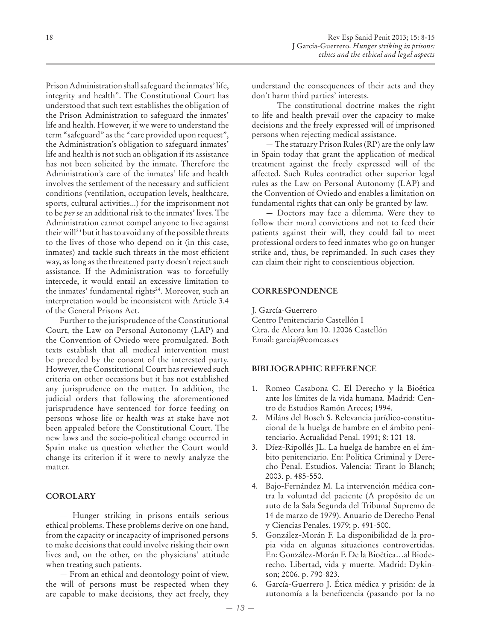Prison Administration shall safeguard the inmates' life, integrity and health". The Constitutional Court has understood that such text establishes the obligation of the Prison Administration to safeguard the inmates' life and health. However, if we were to understand the term "safeguard" as the "care provided upon request", the Administration's obligation to safeguard inmates' life and health is not such an obligation if its assistance has not been solicited by the inmate. Therefore the Administration's care of the inmates' life and health involves the settlement of the necessary and sufficient conditions (ventilation, occupation levels, healthcare, sports, cultural activities...) for the imprisonment not to be *per se* an additional risk to the inmates' lives. The Administration cannot compel anyone to live against their will<sup>23</sup> but it has to avoid any of the possible threats to the lives of those who depend on it (in this case, inmates) and tackle such threats in the most efficient way, as long as the threatened party doesn't reject such assistance. If the Administration was to forcefully intercede, it would entail an excessive limitation to the inmates' fundamental rights<sup>24</sup>. Moreover, such an interpretation would be inconsistent with Article 3.4 of the General Prisons Act.

Further to the jurisprudence of the Constitutional Court, the Law on Personal Autonomy (LAP) and the Convention of Oviedo were promulgated. Both texts establish that all medical intervention must be preceded by the consent of the interested party. However, the Constitutional Court has reviewed such criteria on other occasions but it has not established any jurisprudence on the matter. In addition, the judicial orders that following the aforementioned jurisprudence have sentenced for force feeding on persons whose life or health was at stake have not been appealed before the Constitutional Court. The new laws and the socio-political change occurred in Spain make us question whether the Court would change its criterion if it were to newly analyze the matter.

## **COROLARY**

— Hunger striking in prisons entails serious ethical problems. These problems derive on one hand, from the capacity or incapacity of imprisoned persons to make decisions that could involve risking their own lives and, on the other, on the physicians' attitude when treating such patients.

— From an ethical and deontology point of view, the will of persons must be respected when they are capable to make decisions, they act freely, they understand the consequences of their acts and they don't harm third parties' interests.

— The constitutional doctrine makes the right to life and health prevail over the capacity to make decisions and the freely expressed will of imprisoned persons when rejecting medical assistance.

— The statuary Prison Rules (RP) are the only law in Spain today that grant the application of medical treatment against the freely expressed will of the affected. Such Rules contradict other superior legal rules as the Law on Personal Autonomy (LAP) and the Convention of Oviedo and enables a limitation on fundamental rights that can only be granted by law.

— Doctors may face a dilemma. Were they to follow their moral convictions and not to feed their patients against their will, they could fail to meet professional orders to feed inmates who go on hunger strike and, thus, be reprimanded. In such cases they can claim their right to conscientious objection.

## **CORRESPONDENCE**

J. García-Guerrero Centro Penitenciario Castellón I Ctra. de Alcora km 10. 12006 Castellón Email: garciaj@comcas.es

#### **BIBLIOGRAPHIC REFERENCE**

- 1. Romeo Casabona C. El Derecho y la Bioética ante los límites de la vida humana. Madrid: Centro de Estudios Ramón Areces; 1994.
- 2. Miláns del Bosch S. Relevancia jurídico-constitucional de la huelga de hambre en el ámbito penitenciario. Actualidad Penal. 1991; 8: 101-18.
- 3. Díez-Ripollés JL. La huelga de hambre en el ámbito penitenciario. En: Política Criminal y Derecho Penal. Estudios. Valencia: Tirant lo Blanch; 2003. p. 485-550.
- 4. Bajo-Fernández M. La intervención médica contra la voluntad del paciente (A propósito de un auto de la Sala Segunda del Tribunal Supremo de 14 de marzo de 1979). Anuario de Derecho Penal y Ciencias Penales. 1979; p. 491-500.
- 5. González-Morán F. La disponibilidad de la propia vida en algunas situaciones controvertidas. En: González-Morán F. De la Bioética…al Bioderecho. Libertad, vida y muerte*.* Madrid: Dykinson; 2006. p. 790-823.
- 6. García-Guerrero J. Ética médica y prisión: de la autonomía a la beneficencia (pasando por la no